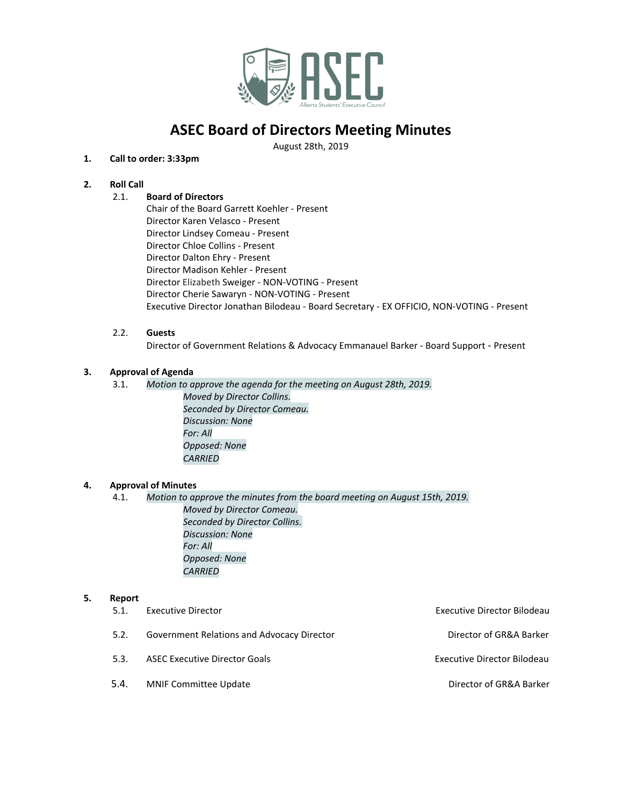

August 28th, 2019

## **1. Call to order: 3:33pm**

## **2. Roll Call**

### 2.1. **Board of Directors**

Chair of the Board Garrett Koehler - Present Director Karen Velasco - Present Director Lindsey Comeau - Present Director Chloe Collins - Present Director Dalton Ehry - Present Director Madison Kehler - Present Director Elizabeth Sweiger - NON-VOTING - Present Director Cherie Sawaryn - NON-VOTING - Present Executive Director Jonathan Bilodeau - Board Secretary - EX OFFICIO, NON-VOTING - Present

## 2.2. **Guests**

Director of Government Relations & Advocacy Emmanauel Barker - Board Support - Present

### **3. Approval of Agenda**

3.1. *Motion to approve the agenda for the meeting on August 28th, 2019.*

*Moved by Director Collins. Seconded by Director Comeau. Discussion: None For: All Opposed: None CARRIED*

### **4. Approval of Minutes**

4.1. *Motion to approve the minutes from the board meeting on August 15th, 2019. Moved by Director Comeau. Seconded by Director Collins. Discussion: None For: All Opposed: None CARRIED*

### **5. Report**

| 5.1. | Executive Director                         | Executive Director Bilodeau |
|------|--------------------------------------------|-----------------------------|
| 5.2. | Government Relations and Advocacy Director | Director of GR&A Barker     |
| 5.3. | <b>ASEC Executive Director Goals</b>       | Executive Director Bilodeau |
| 5.4. | <b>MNIF Committee Update</b>               | Director of GR&A Barker     |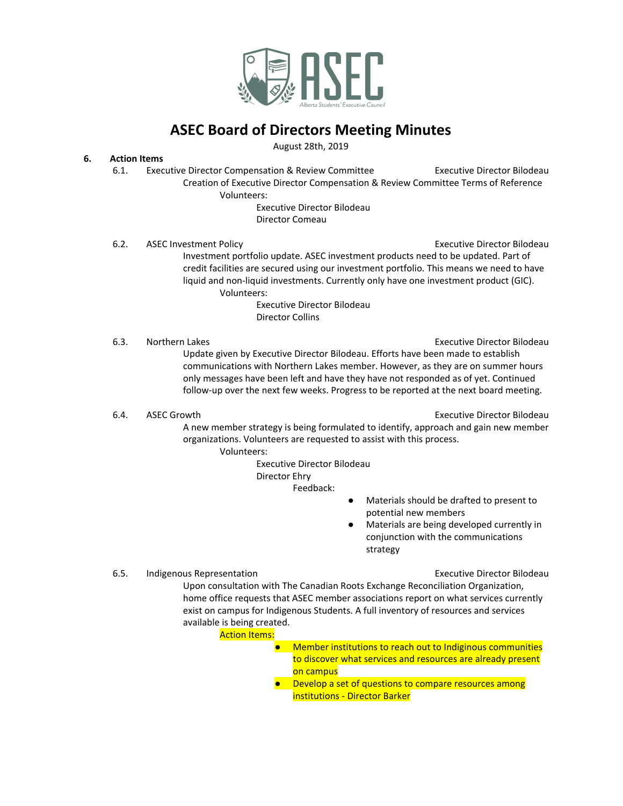

August 28th, 2019

### **6. Action Items**

6.1. Executive Director Compensation & Review Committee **Executive Director Bilodeau** Creation of Executive Director Compensation & Review Committee Terms of Reference

Volunteers:

Executive Director Bilodeau Director Comeau

6.2. ASEC Investment Policy **Executive Director Bilodeau** Executive Director Bilodeau Investment portfolio update. ASEC investment products need to be updated. Part of credit facilities are secured using our investment portfolio. This means we need to have liquid and non-liquid investments. Currently only have one investment product (GIC). Volunteers:

Executive Director Bilodeau Director Collins

6.3. Northern Lakes **Executive Director Bilodeau** 

Update given by Executive Director Bilodeau. Efforts have been made to establish communications with Northern Lakes member. However, as they are on summer hours only messages have been left and have they have not responded as of yet. Continued follow-up over the next few weeks. Progress to be reported at the next board meeting.

6.4. ASEC Growth **Executive Director Bilodeau** 

A new member strategy is being formulated to identify, approach and gain new member organizations. Volunteers are requested to assist with this process. Volunteers:

Executive Director Bilodeau

Director Ehry

Feedback:

- Materials should be drafted to present to potential new members
- Materials are being developed currently in conjunction with the communications strategy

6.5. Indigenous Representation **Executive Director Bilodeau** 

Upon consultation with The Canadian Roots Exchange Reconciliation Organization, home office requests that ASEC member associations report on what services currently exist on campus for Indigenous Students. A full inventory of resources and services available is being created.

**Action Items:** 

- Member institutions to reach out to Indiginous communities to discover what services and resources are already present on campus
	- Develop a set of questions to compare resources among institutions - Director Barker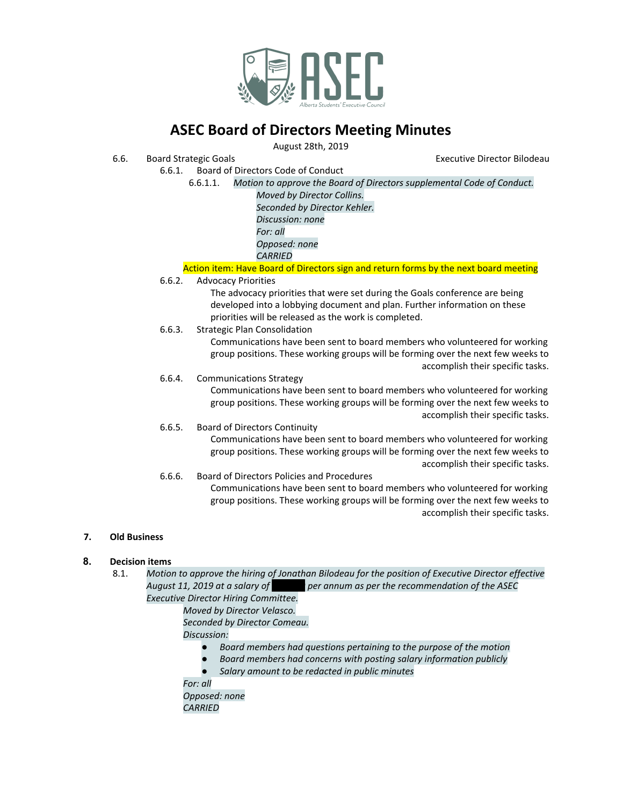

August 28th, 2019

- 6.6. Board Strategic Goals Executive Director Bilodeau
	- 6.6.1. Board of Directors Code of Conduct
		- 6.6.1.1. *Motion to approve the Board of Directors supplemental Code of Conduct.*
			- *Moved by Director Collins. Seconded by Director Kehler. Discussion: none For: all Opposed: none CARRIED*
		- Action item: Have Board of Directors sign and return forms by the next board meeting
	- 6.6.2. Advocacy Priorities
		- The advocacy priorities that were set during the Goals conference are being developed into a lobbying document and plan. Further information on these priorities will be released as the work is completed.
	- 6.6.3. Strategic Plan Consolidation

Communications have been sent to board members who volunteered for working group positions. These working groups will be forming over the next few weeks to accomplish their specific tasks.

- 6.6.4. Communications Strategy Communications have been sent to board members who volunteered for working group positions. These working groups will be forming over the next few weeks to
- accomplish their specific tasks. 6.6.5. Board of Directors Continuity Communications have been sent to board members who volunteered for working group positions. These working groups will be forming over the next few weeks to accomplish their specific tasks.
- 6.6.6. Board of Directors Policies and Procedures Communications have been sent to board members who volunteered for working group positions. These working groups will be forming over the next few weeks to accomplish their specific tasks.

### **7. Old Business**

### **8. Decision items**

- 8.1. *Motion to approve the hiring of Jonathan Bilodeau for the position of Executive Director effective August 11, 2019 at a salary of \$72,000 per annum as per the recommendation of the ASEC Executive Director Hiring Committee.*
	- *Moved by Director Velasco. Seconded by Director Comeau.*

*Discussion:*

- *● Board members had questions pertaining to the purpose of the motion*
- *● Board members had concerns with posting salary information publicly*
- *● Salary amount to be redacted in public minutes*

*For: all Opposed: none CARRIED*